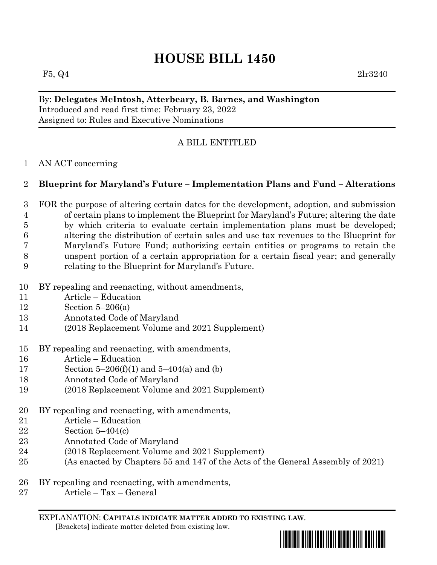F5,  $Q_4$  2lr3240

## By: **Delegates McIntosh, Atterbeary, B. Barnes, and Washington** Introduced and read first time: February 23, 2022 Assigned to: Rules and Executive Nominations

# A BILL ENTITLED

## AN ACT concerning

# **Blueprint for Maryland's Future – Implementation Plans and Fund – Alterations**

- FOR the purpose of altering certain dates for the development, adoption, and submission of certain plans to implement the Blueprint for Maryland's Future; altering the date by which criteria to evaluate certain implementation plans must be developed; altering the distribution of certain sales and use tax revenues to the Blueprint for Maryland's Future Fund; authorizing certain entities or programs to retain the unspent portion of a certain appropriation for a certain fiscal year; and generally relating to the Blueprint for Maryland's Future.
- BY repealing and reenacting, without amendments,
- Article Education
- Section 5–206(a)
- Annotated Code of Maryland
- (2018 Replacement Volume and 2021 Supplement)
- BY repealing and reenacting, with amendments,
- Article Education
- Section 5–206(f)(1) and 5–404(a) and (b)
- Annotated Code of Maryland
- (2018 Replacement Volume and 2021 Supplement)
- BY repealing and reenacting, with amendments,
- Article Education
- Section 5–404(c)
- Annotated Code of Maryland
- (2018 Replacement Volume and 2021 Supplement)
- (As enacted by Chapters 55 and 147 of the Acts of the General Assembly of 2021)
- BY repealing and reenacting, with amendments,
- Article Tax General

EXPLANATION: **CAPITALS INDICATE MATTER ADDED TO EXISTING LAW**.  **[**Brackets**]** indicate matter deleted from existing law.

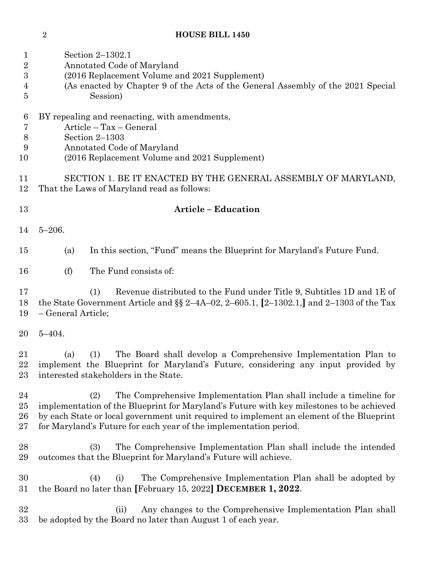| $\mathbf 1$<br>$\overline{2}$<br>3 | Section 2-1302.1<br>Annotated Code of Maryland<br>(2016 Replacement Volume and 2021 Supplement)                                                                                                                                                                                                                                        |
|------------------------------------|----------------------------------------------------------------------------------------------------------------------------------------------------------------------------------------------------------------------------------------------------------------------------------------------------------------------------------------|
| $\overline{4}$<br>5                | (As enacted by Chapter 9 of the Acts of the General Assembly of the 2021 Special<br>Session)                                                                                                                                                                                                                                           |
| 6<br>7<br>8<br>9<br>10             | BY repealing and reenacting, with amendments,<br>Article - Tax - General<br>Section $2-1303$<br>Annotated Code of Maryland<br>(2016 Replacement Volume and 2021 Supplement)                                                                                                                                                            |
| 11<br>12                           | SECTION 1. BE IT ENACTED BY THE GENERAL ASSEMBLY OF MARYLAND,<br>That the Laws of Maryland read as follows:                                                                                                                                                                                                                            |
| 13                                 | <b>Article - Education</b>                                                                                                                                                                                                                                                                                                             |
| 14                                 | $5 - 206.$                                                                                                                                                                                                                                                                                                                             |
| 15                                 | In this section, "Fund" means the Blueprint for Maryland's Future Fund.<br>(a)                                                                                                                                                                                                                                                         |
| 16                                 | The Fund consists of:<br>(f)                                                                                                                                                                                                                                                                                                           |
| 17<br>18<br>19                     | Revenue distributed to the Fund under Title 9, Subtitles 1D and 1E of<br>(1)<br>the State Government Article and $\S$ 2-4A-02, 2-605.1, [2-1302.1,] and 2-1303 of the Tax<br>- General Article;                                                                                                                                        |
| 20                                 | $5 - 404.$                                                                                                                                                                                                                                                                                                                             |
| 21<br>22<br>23                     | The Board shall develop a Comprehensive Implementation Plan to<br>(1)<br>(a)<br>implement the Blueprint for Maryland's Future, considering any input provided by<br>interested stakeholders in the State.                                                                                                                              |
| 24<br>25<br>26<br>27               | The Comprehensive Implementation Plan shall include a timeline for<br>(2)<br>implementation of the Blueprint for Maryland's Future with key milestones to be achieved<br>by each State or local government unit required to implement an element of the Blueprint<br>for Maryland's Future for each year of the implementation period. |
| 28<br>29                           | The Comprehensive Implementation Plan shall include the intended<br>(3)<br>outcomes that the Blueprint for Maryland's Future will achieve.                                                                                                                                                                                             |
| 30<br>31                           | The Comprehensive Implementation Plan shall be adopted by<br>(4)<br>(i)<br>the Board no later than [February 15, 2022] DECEMBER 1, 2022.                                                                                                                                                                                               |
| 32<br>33                           | Any changes to the Comprehensive Implementation Plan shall<br>(ii)<br>be adopted by the Board no later than August 1 of each year.                                                                                                                                                                                                     |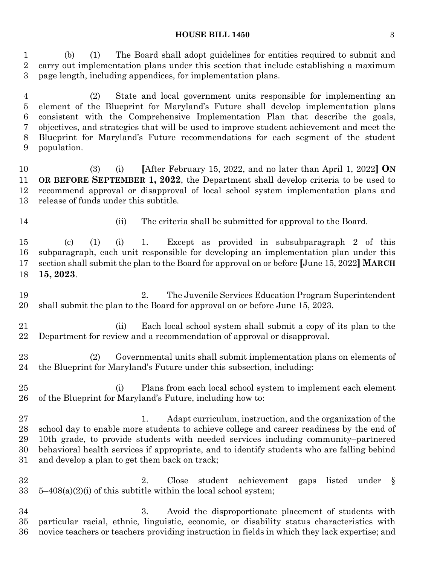#### **HOUSE BILL 1450** 3

 (b) (1) The Board shall adopt guidelines for entities required to submit and carry out implementation plans under this section that include establishing a maximum page length, including appendices, for implementation plans.

 (2) State and local government units responsible for implementing an element of the Blueprint for Maryland's Future shall develop implementation plans consistent with the Comprehensive Implementation Plan that describe the goals, objectives, and strategies that will be used to improve student achievement and meet the Blueprint for Maryland's Future recommendations for each segment of the student population.

 (3) (i) **[**After February 15, 2022, and no later than April 1, 2022**] ON OR BEFORE SEPTEMBER 1, 2022**, the Department shall develop criteria to be used to recommend approval or disapproval of local school system implementation plans and release of funds under this subtitle.

14 (ii) The criteria shall be submitted for approval to the Board.

 (c) (1) (i) 1. Except as provided in subsubparagraph 2 of this subparagraph, each unit responsible for developing an implementation plan under this section shall submit the plan to the Board for approval on or before **[**June 15, 2022**] MARCH 15, 2023**.

 2. The Juvenile Services Education Program Superintendent shall submit the plan to the Board for approval on or before June 15, 2023.

 (ii) Each local school system shall submit a copy of its plan to the Department for review and a recommendation of approval or disapproval.

 (2) Governmental units shall submit implementation plans on elements of the Blueprint for Maryland's Future under this subsection, including:

 (i) Plans from each local school system to implement each element of the Blueprint for Maryland's Future, including how to:

27 1. Adapt curriculum, instruction, and the organization of the school day to enable more students to achieve college and career readiness by the end of 10th grade, to provide students with needed services including community–partnered behavioral health services if appropriate, and to identify students who are falling behind and develop a plan to get them back on track;

 2. Close student achievement gaps listed under §  $33 \quad 5-408(a)(2)(i)$  of this subtitle within the local school system;

 3. Avoid the disproportionate placement of students with particular racial, ethnic, linguistic, economic, or disability status characteristics with novice teachers or teachers providing instruction in fields in which they lack expertise; and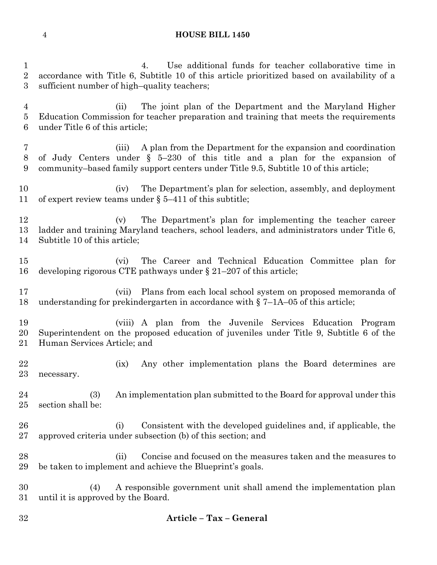4. Use additional funds for teacher collaborative time in accordance with Title 6, Subtitle 10 of this article prioritized based on availability of a sufficient number of high–quality teachers; (ii) The joint plan of the Department and the Maryland Higher Education Commission for teacher preparation and training that meets the requirements under Title 6 of this article; (iii) A plan from the Department for the expansion and coordination of Judy Centers under § 5–230 of this title and a plan for the expansion of community–based family support centers under Title 9.5, Subtitle 10 of this article; (iv) The Department's plan for selection, assembly, and deployment of expert review teams under § 5–411 of this subtitle; (v) The Department's plan for implementing the teacher career ladder and training Maryland teachers, school leaders, and administrators under Title 6, Subtitle 10 of this article; (vi) The Career and Technical Education Committee plan for developing rigorous CTE pathways under § 21–207 of this article; (vii) Plans from each local school system on proposed memoranda of understanding for prekindergarten in accordance with § 7–1A–05 of this article; (viii) A plan from the Juvenile Services Education Program Superintendent on the proposed education of juveniles under Title 9, Subtitle 6 of the Human Services Article; and 22 (ix) Any other implementation plans the Board determines are necessary. (3) An implementation plan submitted to the Board for approval under this section shall be: (i) Consistent with the developed guidelines and, if applicable, the approved criteria under subsection (b) of this section; and (ii) Concise and focused on the measures taken and the measures to be taken to implement and achieve the Blueprint's goals. (4) A responsible government unit shall amend the implementation plan until it is approved by the Board. **Article – Tax – General**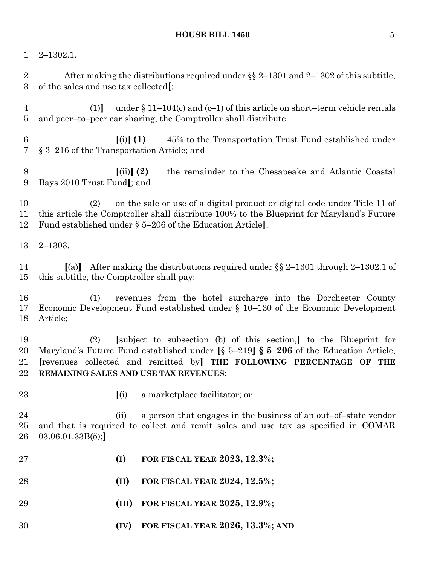#### **HOUSE BILL 1450** 5

2–1302.1.

 After making the distributions required under §§ 2–1301 and 2–1302 of this subtitle, of the sales and use tax collected**[**:

 (1)**]** under § 11–104(c) and (c–1) of this article on short–term vehicle rentals and peer–to–peer car sharing, the Comptroller shall distribute:

 **[**(i)**] (1)** 45% to the Transportation Trust Fund established under § 3–216 of the Transportation Article; and

 **[**(ii)**] (2)** the remainder to the Chesapeake and Atlantic Coastal Bays 2010 Trust Fund**[**; and

 (2) on the sale or use of a digital product or digital code under Title 11 of this article the Comptroller shall distribute 100% to the Blueprint for Maryland's Future Fund established under § 5–206 of the Education Article**]**.

2–1303.

 **[**(a)**]** After making the distributions required under §§ 2–1301 through 2–1302.1 of this subtitle, the Comptroller shall pay:

 (1) revenues from the hotel surcharge into the Dorchester County Economic Development Fund established under § 10–130 of the Economic Development Article;

 (2) **[**subject to subsection (b) of this section,**]** to the Blueprint for Maryland's Future Fund established under **[**§ 5–219**] § 5–206** of the Education Article, **[**revenues collected and remitted by**] THE FOLLOWING PERCENTAGE OF THE REMAINING SALES AND USE TAX REVENUES**:

- 
- **[**(i) a marketplace facilitator; or

 (ii) a person that engages in the business of an out–of–state vendor and that is required to collect and remit sales and use tax as specified in COMAR 03.06.01.33B(5);**]**

- **(I) FOR FISCAL YEAR 2023, 12.3%;**
- **(II) FOR FISCAL YEAR 2024, 12.5%;**
- **(III) FOR FISCAL YEAR 2025, 12.9%;**
- **(IV) FOR FISCAL YEAR 2026, 13.3%; AND**